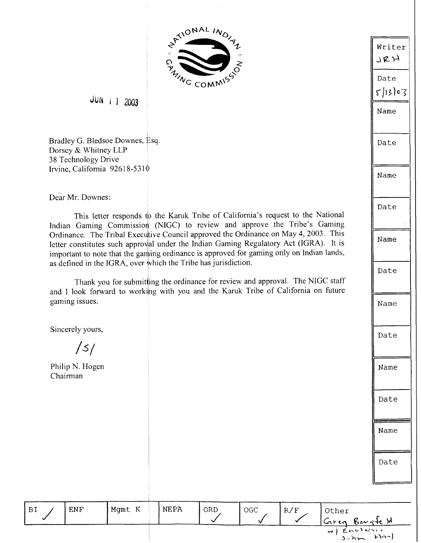

 $JUN$   $1$   $2003$ 

Bradley G. Bledsoe Downes, Esq. Dorsey & Whitney LLP 38 Technology Drive Irvine, California 92618-531 $\phi$ 

Dear Mr. Downes:

This letter responds to the Karuk Tribe of California's request to the National Indian Gaming Commission (NIGC) to review and approve the Tribe's Gaming Ordinance. The Tribal Executive Council approved the Ordinance on May 4, 2003. This letter constitutes such approval under the Indian Gaming Regulatory Act (IGRA). It is important to note that the ganging ordinance is approved for gaming only on Indian lands, as defined in the IGRA, over which the Tribe has jurisdiction.

Thank you for submitting the ordinance for review and approval. The NIGC staff and I look forward to working with you and the Karuk Tribe of California on future gaming issues.

Sincerely yours,

 $/5/$ 

Philip N. Hogen Chairman

Writer ,\ **E 74** <sup>1</sup> Date  $5113003$ Name Date Name Date Name Date Name Date Name Date Name Date

| 'BI | <b>ENF</b> | Mgmt K | NEPA | ORD | OGC | R/F | Other<br>$G$ reg | Ber <sub>5</sub> te M                                              |
|-----|------------|--------|------|-----|-----|-----|------------------|--------------------------------------------------------------------|
|     |            |        |      |     |     |     |                  | w) Enclosure<br>$L$ $\alpha$ -1<br>$\mathcal{A}$ . $\mathcal{A}$ . |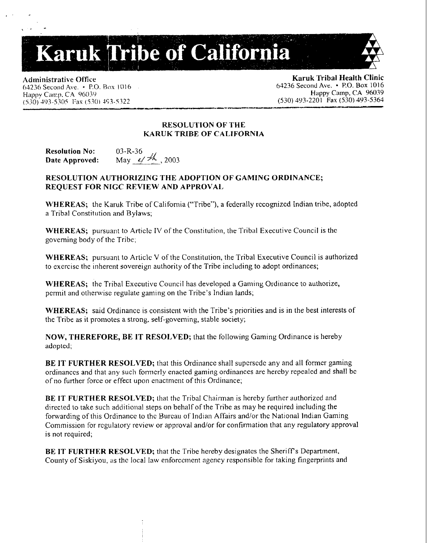# Karuk Tribe of California

Administrative Office<br>
64236 Second Ave. • P.O. Box 1016<br>
64236 Second Ave. • P.O. Box 1016 *64236 Second Ave.* • P.O. Box 1016 **64236 Second Ave. • P.O. Box 1016** 64236 Second Ave. **• P.O. Box 1016** 64236 Second Ave. **• P.O. Box 1016** 64236 Second Ave. **• P.O. Box 1016** 64236 8econd Ave. **• P.O. Box 1016** 64236 *(530)* 403-5.W Fax (5301 \$(;I-5.322 *(530) 393-2201* **Fax** *(530) 493-5363*  - \*-

Happy **C~II:~),** C.4 06039 **Happy Camp, CA** 96039

# **RESOLU'I'ION OF THE KARUK TRIBE OF CALIFORNIA**

**Resolution No:** 03-R-36 Date Approved: May  $4/4$ , 2003

# **RESOLUTION AUTHORIZING THE ADOPTION OF GAMING ORDINANCE; REQUEST FOR NlCC REVIEW AND APPROVAI.,**

**\+'HEREAS;** the Karuk Tribe of California ("Tribe"), a federally rccognizcd Indian tribe, adopted a Tribal Constitution and Bylaws;

**WHEREAS;** pursuant to Article **TV** of the Constitution, the Tribal Executive Council is the governing body of the Tribe;

**WHEREAS;** pursuant to Article V of the Constitution, the 'Tribal Executive Council is authorized to exercisc the inherent sovereign authority of the Tribe including to adopt ordinances;

**WHEREAS;** the Tribal Executive Council has developed a Gaming Ordinance to authorize, permit and otherwise regulate gaming on the Tribe's Indian lands;

**WHEREAS:** said Ordinance is consistent with the Tribe's priorities and is in the best interests of the Tribe as it promotes a strong. self-governing, stable society;

**NOW, THEREFORE, BE IT RESOLVED;** that the following Gaming Ordinance is hereby adopted;

**BE IT FURTHER RESOLVED;** that this Ordinance shall supersede any and all former gaming ordinances and that any such formerly enacted gaming ordinances are hereby repealed and shall be of no further force or effect upon enactment of this Ordinance;

**BE IT FURTHER RESOLVED;** that the Tribal Chairman is hereby further authorized and directed to rake such additional steps on behalf of the Tribe as may be required including the forwarding of this Ordinance to the Bureau of Indian Affairs and/or the National Indian Gaming Commission for regulatory review or approval and/or for confirmation that any regulatory approval is not required;

**BE IT FURTHER RESOLVED;** that the Tribe hereby designates the Sheriff's Department, County of Siskiyou, as the local law enforcement agency responsible for taking fingerprints and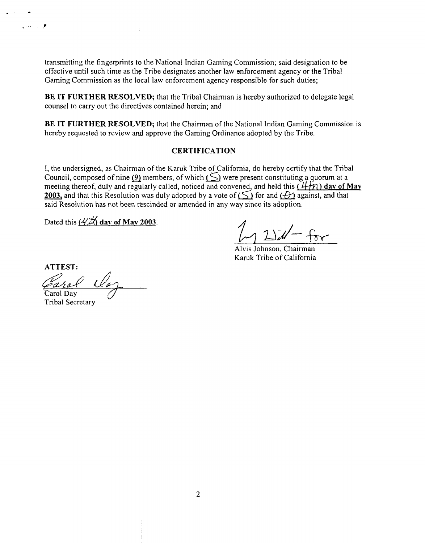transmitting the fingerprints to the National Indian Gaming Commission; said designation to be effective until such time as the Tribe designates another law enforcement agency or the Tribal Gaming Commission as the local law enforcement agency responsible for such duties;

÷

**BE IT FURTHER RESOLVED;** that the Tribal Chairman is hereby authorized to delegate legal counsel to carry out the directives contained herein; and

**BE IT FURTHER RESOLVED;** that the Chairman of the National lndian Gaming Comnission is hereby requested to rcview and approve the Gaming Ordinance adopted by the Tribe.

# **CERTIFICATION**

I, the undersigned, as Chairman of the Karuk Tribe of California, do hereby certify that the Tribal Council, composed of nine  $(9)$  members, of which  $(5)$  were present constituting a quorum at a meeting thereof, duly and regularly called, noticed and convened, and held this  $(4+n)$  day of May 2003, and that this Resolution was duly adopted by a vote of  $($   $\leq)$  for and  $($  $)$  against, and that said Resolution has not been rescinded or amended in any way since its adoption.

Dated this  $(4\vec{x})$  day of May 2003.

Alvis Johnson, Chairman Karuk Tribe of California

ATTEST:<br>Each<br>Carol Day d&

**Tribal Secretary** 

مون<br>مون با براي ا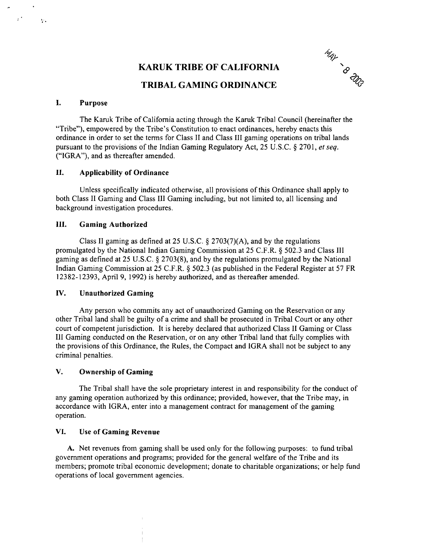# **KARUK TRIBE OF CALIFORNIA**



# **TRIBAL GAMING ORDINANCE**

# **I. Purpose**

 $\hat{r}^{\pm}$ 

 $\ddot{\Sigma}$ 

The Karuk Tribe of California acting through the Karuk Tribal Council (hereinafter the "Tribe"), empowered by the Tribe's Constitution to enact ordinances, hereby enacts this ordinance in order to set the terms for Class I1 and Class 111 gaming operations on tribal lands pursuant to the provisions of the Indian Gaming Regulatory Act, 25 U.S.C. \$ 2701, *et* seq. ("IGRA"), and as thereafter amended.

# **11. Applicability of Ordinance**

Unless specifically indicated otherwise, all provisions of this Ordinance shall apply to both Class I1 Gaming and Class 111 Gaming including, but not limited to, all licensing and background investigation procedures.

#### **111. Gaming Authorized**

Class II gaming as defined at 25 U.S.C.  $\S 2703(7)(A)$ , and by the regulations promulgated by the National Indian Gaming Commission at 25 C.F.R. \$ 502.3 and Class 111 gaming as defined at 25 U.S.C. \$ 2703(8), and by the regulations promulgated by the National Indian Gaming Commission at 25 C.F.R. \$ 502.3 (as published in the Federal Register at 57 FR 12382- 12393, April 9, 1992) is hereby authorized, and as thereafter amended.

# **IV. Unauthorized Gaming**

Any person who commits any act of unauthorized Gaming on the Reservation or any other Tribal land shall be guilty of a crime and shall be prosecuted in Tribal Court or any other court of competent jurisdiction. It is hereby declared that authorized Class I1 Gaming or Class I11 Gaming conducted on the Reservation, or on any other Tribal land that fully complies with the provisions of this Ordinance, the Rules, the Compact and IGRA shall not be subject to any criminal penalties.

# **V. Ownership of Gaming**

The Tribal shall have the sole proprietary interest in and responsibility for the conduct of any gaming operation authorized by this ordinance; provided, however, that the Tribe may, in accordance with IGRA, enter into a management contract for management of the gaming operation.

#### **VI. Use of Gaming Revenue**

**A.** Net revenues from gaming shall be used only for the following purposes: to fund tribal government operations and programs; provided for the general welfare of the Tribe and its members; promote tribal economic development; donate to charitable organizations; or help fund operations of local government agencies.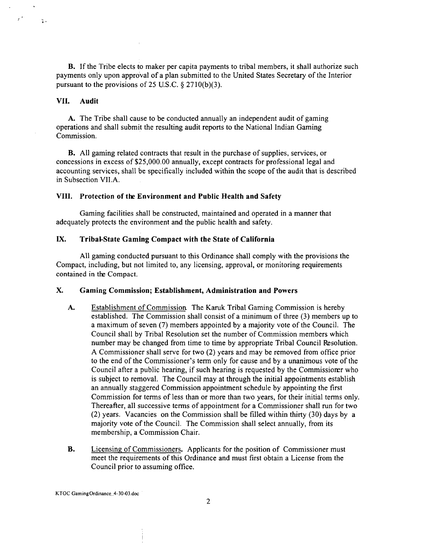B. If the Tribe elects to maker per capita payments to tribal members, it shall authorize such payments only upon approval of a plan submitted to the United States Secretary of the Interior pursuant to the provisions of 25 U.S.C. *5* 2710(b)(3).

# **VII. Audit**

 $\mathbb{R}^3$ 

 $\mathcal{L}$ .

**A.** The Tribe shall cause to be conducted annually an independent audit of gaming operations and shall submit the resulting audit reports to the National Indian Gaming Commission.

B. All gaming related contracts that result in the purchase of supplies, services, or concessions in excess of \$25,000.00 annually, except contracts for professional legal and accounting services, shall be specifically included within the scope of the audit that is described in Subsection VILA.

#### **VIII. Protection of the Environment and Public Health and Safety**

Gaming facilities shall be constructed, maintained and operated in a manner that adequately protects the environment and the public health and safety.

# **IX. TribaLState Gaming Compact with the State of California**

All gaming conducted pursuant to this Ordinance shall comply with the provisions the Compact, including, but not limited to, any licensing, approval, or monitoring requirements contained in the Compact.

# **X. Gaming Commission; Establishment, Administration and Powers**

- **A.** Establishment of Commission The Karuk Tribal Gaming Commission is hereby established. The Commission shall consist of a minimum of three **(3)** members up to a maximum of seven (7) members appointed by a majority vote of the Council. The Council shall by Tribal Resolution set the number of Commission members which number may be changed from time to time by appropriate Tribal Council Resolution. A Commissioner shall serve for two **(2)** years and may be removed from office prior to the end of the Commissioner's term only for cause and by a unanimous vote of the Council after a public hearing, if such hearing is requested by the Commissioner who is subject to removal. The Council may at through the initial appointments establish an annually staggered Commission appointment schedule by appointing the first Commission for terms of less than or more than two years, for their initial terms only. Thereafter, all successive terms of appointment for a Commissioner shall run for two (2) years. Vacancies on the Commission shall be filled within thirty (30) days by a majority vote of the Council. The Commission shall select annually, from its membership, a Commission Chair.
- **B.** Licensing of Commissioners. Applicants for the position of Commissioner must meet the requirements of this Ordinance and must first obtain a License from the Council prior to assuming office.

KTOC **GamingOrdinance..4-3043.doc**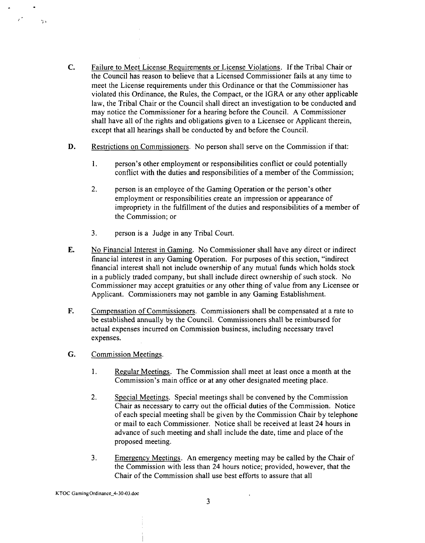- **C.** Failure to Meet License Requirements or License Violations. If the Tribal Chair or the Council has reason to believe that a Licensed Commissioner fails at any time to meet the License requirements under this Ordinance or that the Commissioner has violated this Ordinance, the Rules, the Compact, or the lGRA or any other applicable law, the Tribal Chair or the Council shall direct an investigation to be conducted and may notice the Commissioner for a hearing before the Council. A Commissioner shall have all of the rights and obligations given to a Licensee or Applicant therein, except that all hearings shall be conducted by and before the Council.
- **D.** Restrictions on Commissioners. No person shall serve on the Commission if that:
	- **1.** person's other employment or responsibilities conflict or could potentially conflict with the duties and responsibilities of a member of the Commission;
	- **2.** person is an employee of the Gaming Operation or the person's other employment or responsibilities create an impression or appearance of impropriety in the hlfillment of the duties and responsibilities of a member of the Commission; or
	- 3. person is a Judge in any Tribal Court.
- **E.** No Financial Interest in Gaming. No Commissioner shall have any direct or indirect financial interest in any Gaming Operation. For purposes of this section, "indirect financial interest shall not include ownership of any mutual funds which holds stock in a publicly traded company, but shall include direct ownership of such stock. No Commissioner may accept gratuities or any other thing of value from any Licensee or Applicant. Commissioners may not gamble in any Gaming Establishment.
- **F.** Compensation of Commissioners. Commissioners shall be compensated at a rate to be established annually by the Council. Commissioners shall be reimbursed for actual expenses incurred on Commission business, including necessary travel expenses.
- *G.* Commission Meetings.

 $\overline{r}^{\star}$ 

 $\frac{1}{2}$  .

- 1. Regular Meetings. The Commission shall meet at least once a month at the Commission's main office or at any other designated meeting place.
- 2. Svecial Meetings. Special meetings shall be convened by the Commission Chair as necessary to carry out the official duties of the Commission. Notice of each special meeting shall be given by the Commission Chair by telephone or mail to each Commissioner. Notice shall be received at least **24** hours in advance of such meeting and shall include the date, time and place of the proposed meeting.
- 3. Emergency Meetings. An emergency meeting may be called by the Chair of the Commission with less than **24** hours notice; provided, however, that the Chair of the Commission shall use best efforts to assure that all

**KTOC GamingOrdinancc-4-3043.doc**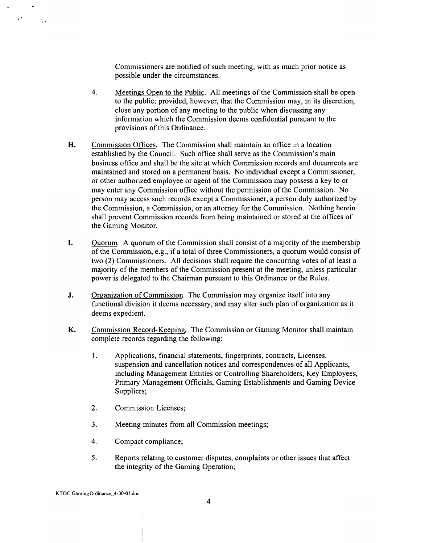Commissioners are notified of such meeting, with as much prior notice as possible under the circumstances.

- **4.** Meetings Open to the Public. All meetings of the Commission shall be open to the public; provided, however, that the Commission may, in its discretion, close any portion of any meeting to the public when discussing any information which the Commission deems confidential pursuant to the provisions of this Ordinance.
- **H.** Commission Offices. The Commission shall maintain an office in a location established by the Council. Such office shall serve as the Commission's main business office and shall be the site at which Commission records and documents are maintained and stored on a permanent basis. No individual except a Commissioner, or other authorized employee or agent of the Commission may possess a key to or may enter any Commission office without the permission of the Commission. No person may access such records except a Commissioner, a person duly authorized by the Commission, a Commission, or an attorney for the Commission. Nothing herein shall prevent Commission records from being maintained or stored at the offices of the Gaming Monitor.
- **I.** Quorum. A quorum of the Commission shall consist of a majority of the membership of the Commission, e.g., if a total of three Commissioners, a quorum would consist of two (2) Commissioners. All decisions shall require the concurring votes of at least a majority of the members of the Commission present at the meeting, unless particular power is delegated to the Chairman pursuant to this Ordinance or the Rules.
- **J.** Organization of Commission The Commission may organize itself into any functional division it deems necessary, and may alter such plan of organization as it deems expedient.
- **K.** Commission Record-Keeping, The Commission or Gaming Monitor shall maintain complete records regarding the following:
	- 1. Applications, financial statements, fingerprints, contracts, Licenses, suspension and cancellation notices and correspondences of all Applicants, including Management Entities or Controlling Shareholders, Key Employees, Primary Management Officials, Gaming Establishments and Gaming Device Suppliers;
	- 2. Commission Licenses;
	- **3.** Meeting minutes from all Commission meetings;
	- 4. Compact compliance;
	- **5.** Reports relating to customer disputes, complaints or other issues that affect the integrity of the Gaming Operation;

 $\mathcal{F}^{\mathcal{F}}$ 

 $\Lambda$  .

KTOC **GamingOrdinance.4-3043.doc**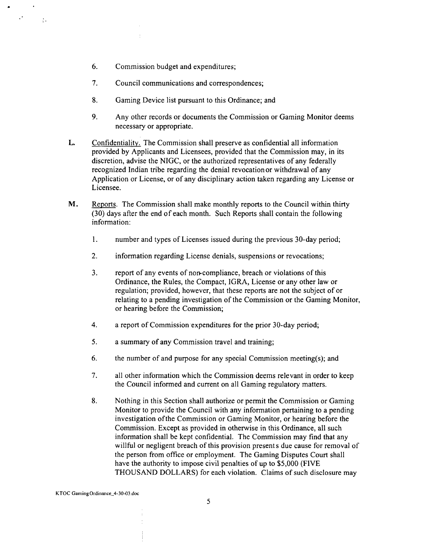6. Commission budget and expenditures;

 $\mathcal{L}_{\mathcal{A}}$ 

- 7. Council communications and correspondences;
- **8.** Gaming Device list pursuant to this Ordinance; and
- 9. Any other records or documents the Commission or Gaming Monitor deems necessary or appropriate.
- **L.** Confidentiality. The Commission shall preserve as confidential all information provided by Applicants and Licensees, provided that the Commission may, in its discretion, advise the NIGC, or the authorized representatives of any federally recognized Indian tribe regarding the denial revocation or withdrawal of any Application or License, or of any disciplinary action taken regarding any License or Licensee.
- **M.** Reports. The Commission shall make monthly reports to the Council within thirty (30) days after the end of each month. Such Reports shall contain the following information:
	- **1.** number and types of Licenses issued during the previous 30-day period;
	- 2. information regarding License denials, suspensions or revocations;
	- 3. report of any events of noncompliance, breach or violations of this Ordinance, the Rules, the Compact, IGRA, License or any other law or regulation; provided, however, that these reports are not the subject of or relating to a pending investigation of the Commission or the Gaming Monitor, or hearing before the Commission;
	- 4. **a** report of Commission expenditures for the prior 30-day period;
	- **5.** a summary of any Commission travel and training;
	- *6.* the number of and purpose for any special Commission meeting(s); and
	- 7. all other information which the Commission deems relevant in order to keep the Council informed and current on all Gaming regulatory matters.
	- **8.** Nothing in this Section shall authorize or permit the Commission or Gaming Monitor to provide the Council with any information pertaining to a pending investigation ofthe Commission or Gaming Monitor, or hearing before the Commission. Except as provided in otherwise in this Ordinance, all such information shall be kept confidential. The Commission may find that any willful or negligent breach of this provision presents due cause for removal of the person from office or employment. The Gaming Disputes Court shall have the authority to impose civil penalties of up to \$5,000 (FIVE THOUSAND DOLLARS) for each violation. Claims of such disclosure may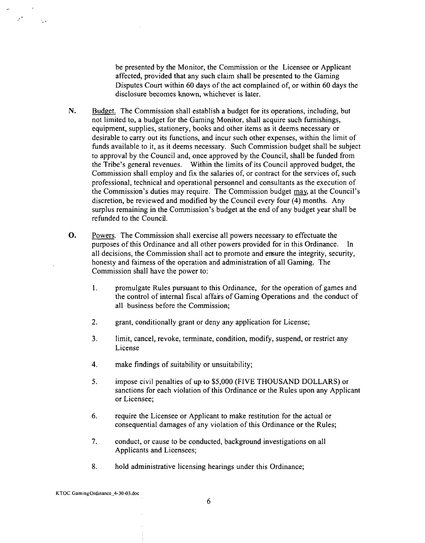be presented by the Monitor, the Commission or the Licensee or Applicant affected, provided that any such claim shall be presented to the Gaming Disputes Court within 60 days of the act complained of, or within 60 days the disclosure becomes known, whichever is later.

- **N.** Budget. The Commission shall establish a budget for its operations, including, but not limited to, a budget for the Gaming Monitor, shall acquire such furnishings, equipment, supplies, stationery, books and other items as it deems necessary or desirable to carry out its functions, and incur such other expenses, within the limit of finds available to it, as it deems necessary. Such Commission budget shall be subject to approval by the Council and, once approved by the Council, shall be finded From the Tribe's general revenues. Within the limits of its Council approved budget, the Commission shall employ and fix the salaries of, or contract for the services of, such professional, technical and operational personnel and consultants as the execution of the Commission's duties may require. The Commission budget may, at the Council's discretion, be reviewed and modified by the Council every four (4) months. Any surplus remaining in the Commission's budget at the end of any budget year shall be refunded to the Council.
- **0.** Powers. The Commission shall exercise all powers necessary to effectuate the purposes of this Ordinance and all other powers provided for in this Ordinance. In all decisions, the Commission shall act to promote and emure the integrity, security, honesty and fairness of the operation and administration of all Gaming. The Commission shall have the power to:
	- **1.** promulgate Rules pursuant to this Ordinance, for the operation of games and the control of internal fiscal affairs of Gaming Operations and the conduct of all business before the Commission;
	- 2. grant, conditionally grant or deny any application for License;
	- **3.** limit, cancel, revoke, terminate, condition, modify, suspend, or restrict any License
	- 4. make findings of suitability or unsuitability;
	- 5. impose civil penalties of up to \$5,000 (FIVE THOUSAND DOLLARS) or sanctions for each violation of this Ordinance or the Rules upon any Applicant or Licensee;
	- 6. require the Licensee or Applicant to make restitution for the actual or consequential damages of any violation of this Ordinance or the Rules;
	- **7.** conduct, or cause to be conducted, background investigations on all Applicants and Licensees;
	- **8.** hold administrative licensing hearings under this Ordinance;

 $\mathcal{F}^{\mathcal{C}}$ 

 $\sim$  .

KTOC Gaming Ordinance<sub>.</sub>4-30-03.doc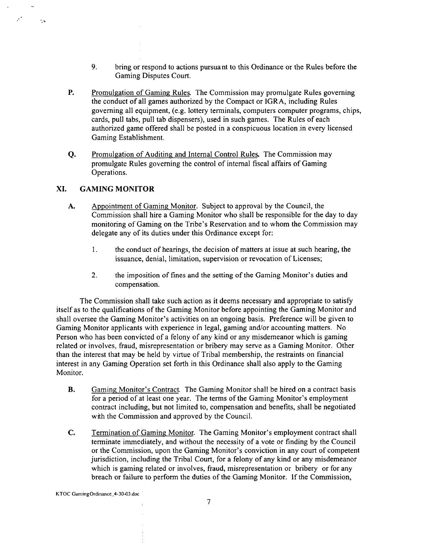- 9. bring or respond to actions pursuant to this Ordinance or the Rules before the Gaming Disputes Court.
- **P.** Promulgation of Gaming Rules. The Commission may promulgate Rules governing the conduct of all games authorized by the Compact or IGRA, including Rules governing all equipment, (e.g. lottery terminals, computers computer programs, chips, cards, pull tabs, pull tab dispensers), used in such games. The Rules of each authorized game offered shall be posted in a conspicuous 1ocation.in every licensed Gaming Establishment.
- **Q.** Promulgation of Auditing and Internal Control Rules. The Commission may promulgate Rules governing the control of internal fiscal affairs of Gaming Operations.

# **XI. GAMING MONITOR**

 $\mathcal{F}^{\star}$ 

 $\epsilon_{\rm th}$ 

- **A.** Appointment of Gaming Monitor. Subject to approval by the Council, the Commission shall hire a Gaming Monitor who shall be responsible for the day to day monitoring of Gaming on the Tribe's Reservation and to whom the Commission may delegate any of its duties under this Ordinance except for:
	- 1. the conduct of hearings, the decision of matters at issue at such hearing, the issuance, denial, limitation, supervision or revocation of Licenses;
	- 2. the imposition of fines and the setting of the Gaming Monitor's duties and compensation.

The Commission shall take such action as it deems necessary and appropriate to satisfy itself as to the qualifications of the Gaming Monitor before appointing the Gaming Monitor and shall oversee the Gaming Monitor's activities on an ongoing basis. Preference will be given to Gaming Monitor applicants with experience in legal, gaming and/or accounting matters. No Person who has been convicted of a felony of any kind or any misdemeanor which is gaming related or involves, fraud, misrepresentation or bribery may serve as a Gaming Monitor. Other than the interest that may be held by virtue of Tribal membership, the restraints on financial interest in any Gaming Operation set forth in this Ordinance shall also apply to the Gaming Monitor.

- **B.** Gaming Monitor's Contract. The Gaming Monitor shall be hired on a contract basis for a period of at least one year. The terms of the Gaming Monitor's employment contract including, but not limited to, compensation and benefits, shall be negotiated with the Commission and approved by the Council.
- **C.** Termination of Gaming Monitor. The Gaming Monitor's employment contract shall terminate immediately, and without the necessity of a vote or finding by the Council or the Commission, upon the Gaming Monitor's conviction in any court of competent jurisdiction, including the Tribal Court, for a felony of any kind or any misdemeanor which is gaming related or involves, fraud, misrepresentation or bribery or for any breach or failure to perform the duties of the Gaming Monitor. If the Commission,

KTOC **Gaming0rdinance.-4-30-03.doc**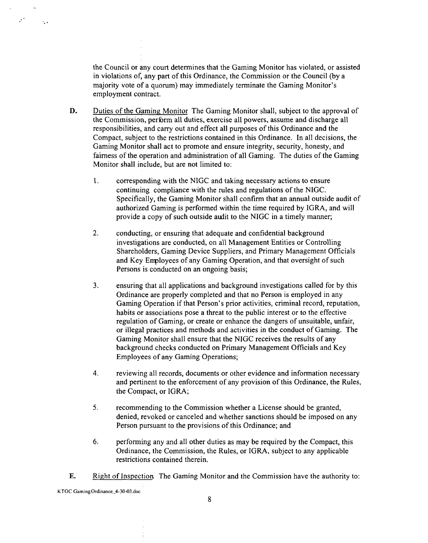the Council or any court determines that the Gaming Monitor has violated, or assisted in violations of, any part of this Ordinance, the Commission or the Council (by a majority vote of a quorum) may immediately terminate the Gaming Monitor's employment contract.

- **D.** Duties of the Gaming Monitor The Gaming Monitor shall, subject to the approval of the Commission, perbrm all duties, exercise all powers, assume and discharge all responsibilities, and cany out and effect all purposes of this Ordinance and the Compact, subject to the restrictions contained in this Ordinance. In all decisions, the Gaming Monitor shall act to promote and ensure integrity, security, honesty, and fairness of the operation and administration of all Gaming. The duties of the Gaming Monitor shall include, but are not limited to:
	- 1. corresponding with the NIGC and taking necessary actions to ensure continuing compliance with the rules and regulations of the NIGC. Specifically, the Gaming Monitor shall confirm that an annual outside audit of authorized Gaming is performed within the time required by IGRA, and will provide a copy of such outside adit to the NIGC in a timely manner;
	- 2. conducting, or ensuring that adequate and confidential background investigations are conducted, on all Management Entities or Controlling Shareholders, Gaming Device Suppliers, and Primary Management Officials and Key Employees of any Gaming Operation, and that oversight of such Persons is conducted on an ongoing basis;
	- $3.$ ensuring that all applications and background investigations called for by this Ordinance are properly completed and that no Person is employed in any Gaming Operation if that Person's prior activities, criminal record, reputation, habits or associations pose a threat to the public interest or to the effective regulation of Gaming, or create or enhance the dangers of unsuitable, unfair, or illegal practices and methods and activities in the conduct of Gaming. The Gaming Monitor shall ensure that the NIGC receives the results of any background checks conducted on Primary Management Officials and Key Employees of any Gaming Operations;
	- **4.** reviewing all records, documents or other evidence and information necessary and pertinent to the enforcement of any provision of this Ordinance, the Rules, the Compact, or IGRA;
	- **5.** recommending to the Commission whether a License should be granted, denied, revoked or canceled and whether sanctions should be imposed on any Person pursuant to the provisions of this Ordinance; and
	- **6.** performing any and all other duties as may be required by the Compact, this Ordinance, the Commission, the Rules, or IGRA, subject to any applicable restrictions contained therein.
- **E.** Right of Inspection The Gaming Monitor and the Commission have the authority to:

KTOC GamingOrdinance<sub>...</sub>4-30-03.doc

 $\mathcal{F}^{\mathcal{L}}$ 

 $\ddot{\cdot}$  .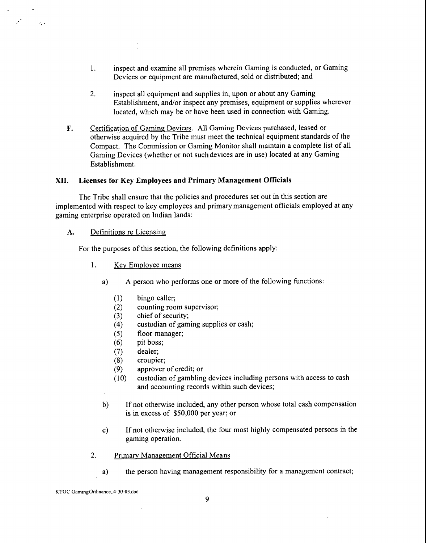- 1. inspect and examine all premises wherein Gaming is conducted, or Gaming Devices or equipment are manufactured, sold or distributed; and
- 2. inspect all equipment and supplies in, upon or about any Gaming Establishment, and/or inspect any premises, equipment or supplies wherever located, which may be or have been used in connection with Gaming.
- **F.** Certification of Gaming Devices. All Gaming Devices purchased, leased or otherwise acquired by the Tribe must meet the technical equipment standards of the Compact. The Commission or Gaming Monitor shall maintain a complete list of all Gaming Devices (whether or not such devices are in use) located at any Gaming Establishment.

## **XII. Licenses for Key Employees and Primary Management Officials**

The Tribe shall ensure that the policies and procedures set out in this section are implemented with respect to key employees and primary management officials employed at any gaming enterprise operated on Indian lands:

#### **A.** Definitions re Licensing,

 $\mathcal{A}_\mathbf{a}$  .

For the purposes of this section, the following definitions apply:

- 1. Key Employee means
	- a) A person who performs one or more of the following functions:
		- bingo caller;  $(1)$
		- counting room supervisor;  $(2)$
		- chief of security;  $(3)$
		- $(4)$ custodian of gaming supplies or cash;
		- floor manager;  $(5)$
		- $(6)$ pit boss;
		- $(7)$ dealer;
		- $(8)$ croupier;
		- $(9)$ approver of credit; or
		- custodian of gambling devices including persons with access to cash  $(10)$ and accounting records within such devices;
	- b) If not otherwise included, any other person whose total cash compensation is in excess of \$50,000 per year; or
	- c) If not otherwise included, the four most highly compensated persons in the gaming operation.
- 2. Primary Management Official Means
	- a) the person having management responsibility for a management contract;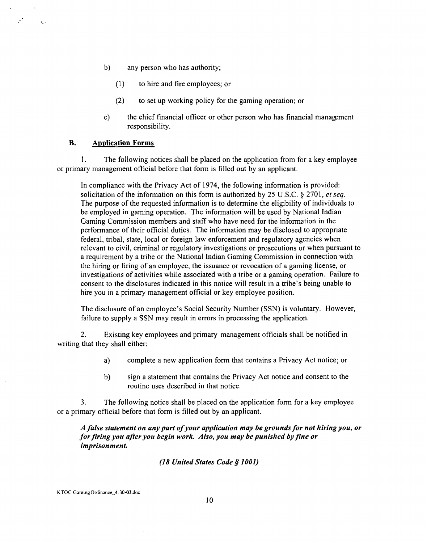- b) any person who has authority;
	- (1) to hire and fire employees; or
	- (2) to set up working policy for the gaming operation; or
- c) the chief financial officer or other person who has financial management responsibility.

#### **B. Application Forms**

 $\mathcal{L}_{\mathbf{z}}$  .

I. The following notices shall be placed on the application from for a key employee or primary management official before that form is filled out by an applicant.

In compliance with the Privacy Act of 1974, the following information is provided: solicitation of the information on this form is authorized by 25 U.S.C. **9** 2701, *et* seq. The purpose of the requested information is to determine the eligibility of individuals to be employed in gaming operation. The information will be used by National Indian Gaming Commission members and staff who have need for the information in the performance of their official duties. The information may be disclosed to appropriate federal, tribal, state, local or foreign law enforcement and regulatory agencies when relevant to civil, criminal or regulatory investigations or prosecutions or when pursuant to a requirement by a tribe or the National Indian Gaming Commission in connection with the hiring or firing of an employee, the issuance or revocation of a gaming license, or investigations of activities while associated with a tribe or a gaming operation. Failure to consent to the disclosures indicated in this notice will result in a tribe's being unable to hire you in a primary management official or key employee position.

The disclosure of an employee's Social Security Number (SSN) is voluntary. However, failure to supply a SSN may result in errors in processing the application.

2. Existing key employees and primary management officials shall be notified in writing that they shall either:

- a) complete a new application form that contains a Privacy Act notice; or
- b) sign a statement that contains the Privacy Act notice and consent to the routine uses described in that notice.

**3.** The following notice shall be placed on the application form for a key employee or a primary official before that form is filled out by an applicant.

*A false statement on any part of your application may be grounds for not hiring you, or for firing you after you begin work. Also, you may be punished by fine or imprisonment.* 

#### *(18 United States Code \$1001)*

KTOC **GamingOrdinance-4-3043.doc**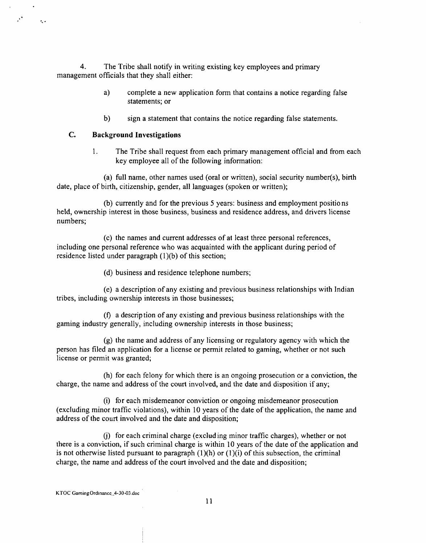**4.** The Tribe shall notify in writing existing key employees and primary management officials that they shall either:

- a) complete a new application form that contains a notice regarding false statements; or
- b) sign a statement that contains the notice regarding false statements.

### **C. Background Investigations**

 $\mathcal{F}^{\bullet}$  .

 $\ddot{\phantom{0}}$ 

1. The Tribe shall request from each primary management official and from each key employee all of the following information:

(a) full name, other names used (oral or written), social security nurnber(s), birth date, place of birth, citizenship, gender, all languages (spoken or written);

(b) currently and for the previous 5 years: business and employment positions held, ownership interest in those business, business and residence address, and drivers license numbers;

(c) the names and current addresses of at least three personal references, including one personal reference who was acquainted with the applicant during period of residence listed under paragraph  $(1)(b)$  of this section;

(d) business and residence telephone numbers;

(e) a description of any existing and previous business relationships with Indian tribes, including ownership interests in those businesses;

(f) a description of any existing and previous business relationships with the gaming industry generally, including ownership interests in those business;

(g) the name and address of any licensing or regulatory agency with which the person has filed an application for a license or permit related to gaming, whether or not such license or permit was granted;

(h) for each felony for which there is an ongoing prosecution or a conviction, the charge, the name and address of the court involved, and the date and disposition if any;

(i) for each misdemeanor conviction or ongoing misdemeanor prosecution (excluding minor traffic violations), within 10 years of the date of the application, the name and address of the court involved and the date and disposition;

(j) for each criminal charge (excluding minor traffic charges), whether or not there is a conviction, if such criminal charge is within 10 years of the date of the application and is not otherwise listed pursuant to paragraph  $(1)(h)$  or  $(1)(i)$  of this subsection, the criminal charge, the name and address of the court involved and the date and disposition;

**KTOC GamingOrdinance\_4-30-03.doc**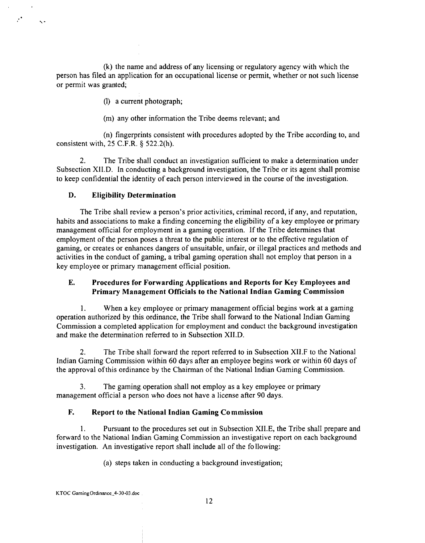(k) the name and address of any licensing or regulatory agency with which the person has filed an application for an occupational license or permit, whether or not such license or permit was granted;

(1) a current photograph;

(m) any other information the Tribe deems relevant; and

(n) fingerprints consistent with procedures adopted by the Tribe according to, and consistent with, 25 C.F.R. \$ 522.2(h).

2. The Tribe shall conduct an investigation sufficient to make a determination under Subsection X1I.D. In conducting a background investigation, the Tribe or its agent shall promise to keep confidential the identity of each person interviewed in the course of the investigation.

# **D. Eligibility Determination**

 $\ddot{\phantom{0}}$ 

The Tribe shall review a person's prior activities, criminal record, if any, and reputation, habits and associations to make a finding concerning the eligibility of a key employee or primary management official for employment in a gaming operation. If the Tribe determines that employment of the person poses a threat to the public interest or to the effective regulation of gaming, or creates or enhances dangers of unsuitable, unfair, or illegal practices and methods and activities in the conduct of gaming, a tribal gaming operation shall not employ that person in a key employee or primary management official position.

# **E. Procedures for Forwarding Applications and Reports for Key Employees and Primary Management Officials to the National Indian Gaming Commission**

**1.** When a key employee or primary management official begins work at a gaming operation authorized by this ordinance, the Tribe shall forward to the National Indian Gaming Commission a completed application for employment and conduct the background investigation and make the determination referred to in Subsection X1I.D.

**2.** The Tribe shall forward the report referred to in Subsection XI1.F to the National Indian Gaming Commission within 60 days after an employee begins work or within 60 days of the approval ofthis ordinance by the Chairman of the National Indian Gaming Commission.

**3.** The gaming operation shall not employ as a key employee or primary management official a person who does not have a license after 90 days.

# **F. Report to the National Indian Gaming Co mmission**

1. Pursuant to the procedures set out in Subsection XII.E, the Tribe shall prepare and forward to the National Indian Gaming Commission an investigative report on each background investigation. An investigative report shall include all of the fo Ilowing:

(a) steps taken in conducting a background investigation;

**KTOC Gaming Ordinance\_4-30-03.doc**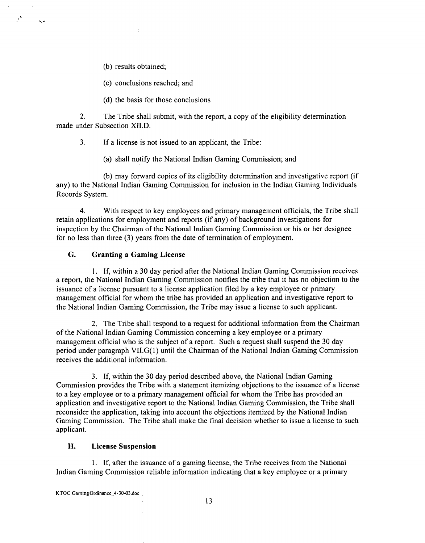(b) results obtained;

 $\mathbf{r}$ 

(c) conclusions reached; and

(d) the basis for those conclusions

2. The Tribe shall submit, with the report, a copy of the eligibility determination made under Subsection XI1.D.

3. If a license is not issued to an applicant, the Tribe:

(a) shall notify the National Indian Gaming Commission; and

(b) may forward copies of its eligibility determination and investigative report (if any) to the National Indian Gaming Commission for inclusion in the Indian Gaming Individuals Records System.

**4.** With respect to key employees and primary management officials, the Tribe shall retain applications for employment and reports (if any) of background investigations for inspection by the Chairman of the National Indian Gaming Commission or his or her designee for no less than three (3) years from the date of termination of employment.

# *G.* **Granting a Gaming License**

1. If, within a 30 day period after the National Indian Gaming Commission receives a report, the National Indian Gaming Commission notifies the tribe that it has no objection to the issuance of a license pursuant to a license application filed by a key employee or primary management official for whom the tribe has provided an application and investigative report to the National Indian Gaming Commission, the Tribe may issue a license to such applicant.

2. The Tribe shall respond to a request for additional information from the Chairman of the National Indian Gaming Commission concerning a key employee or a primary management official who is the subject of a report. Such a request shall suspend the 30 day period under paragraph VII.G(l) until the Chairman of the National Indian Gaming Commission receives the additional information.

3. If, within the 30 day period described above, the National Indian Gaming Commission provides the Tribe with a statement itemizing objections to the issuance of a license to a key employee or to a primary management official for whom the Tribe has provided an application and investigative report to the National Indian Gaming Commission, the Tribe shall reconsider the application, taking into account the objections itemized by the National Indian Gaming Commission. The Tribe shall make the final decision whether to issue a license to such applicant.

# **H. License Suspension**

1. If, after the issuance of a gaming license, the Tribe receives from the National Indian Gaming Commission reliable information indicating that a key employee or a primary

**KTOC GarningOrdinance..4-30-03.doc**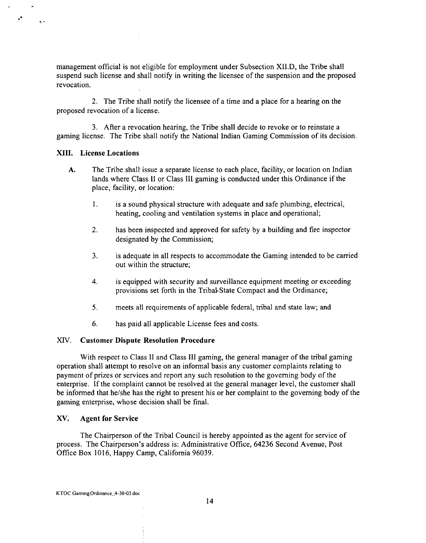management official is not eligible for employment under Subsection XII.D, the Tribe shall suspend such license and shall notify in writing the licensee of the suspension and the proposed revocation.

2. The Tribe shall notify the licensee of a time and a place for a hearing on the proposed revocation of a license.

3. After a revocation hearing, the Tribe shall decide to revoke or to reinstate a gaming license. The Tribe shall notify the National Indian Gaming Commission of its decision.

#### **XIII. License Locations**

 $\mathcal{F}^{\bullet}$ 

 $\tilde{\mathbf{r}}$  .

- **A.** The Tribe shal! issue a separate license to each place, facility, or location on Indian lands where Class II or Class III gaming is conducted under this Ordinance if the place, facility, or location:
	- 1. is a sound physical structure with adequate and safe plumbing, electrical, heating, cooling and ventilation systems in place and operational;
	- 2. has been inspected and approved for safety by a building and fire inspector designated by the Commission;
	- 3. is adequate in all respects to accommodate the Gaming intended to be carried out within the structure;
	- **4.** is equipped with security and surveillance equipment meeting or exceeding provisions set forth in the Tribal-State Compact and the Ordinance;
	- **5.** meets all requirements of applicable federal, tribal and state law; and
	- 6. has paid all applicable License fees and costs.

#### XIV. **Customer Dispute Resolution Procedure**

With respect to Class II and Class III gaming, the general manager of the tribal gaming operation shall attempt to resolve on an informal basis any customer complaints relating to payment of prizes or services and report any such resolution to the governing body of the enterprise. If the complaint cannot be resolved at the general manager level, the customer shall be informed that he/she has the right to present his or her complaint to the governing body of the gaming enterprise, whose decision shall be final.

#### **XV. Agent for Service**

The Chairperson of the Tribal Council is hereby appointed as the agent for service of process. The Chairperson's address is: Administrative Office, 64236 Second Avenue, Post Office Box 1016, Happy Camp, California 96039.

**KTOC GamingOrdinance.** 4-30-03.doc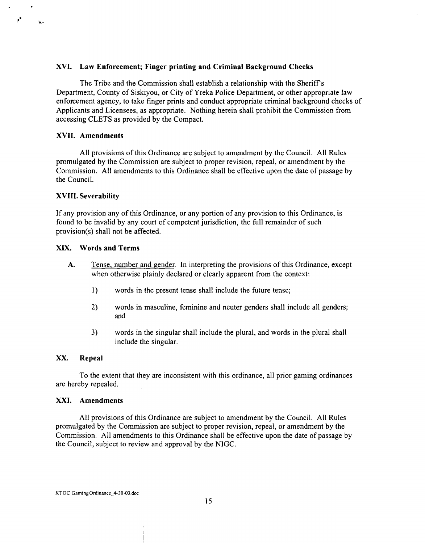#### **XVI. Law Enforcement; Finger printing and Criminal Background Checks**

The Tribe and the Commission shall establish a relationship with the Sheriffs Department, County of Siskiyou, or City of Yreka Police Department, or other appropriate law enforcement agency, to take finger prints and conduct appropriate criminal background checks of Applicants and Licensees, as appropriate. Nothing herein shall prohibit the Commission from accessing CLETS as provided by the Compact.

#### **XVII. Amendments**

 $\mathbf{r}$ 

 $\ddot{\bullet}$ 

All provisions of this Ordinance are subject to amendment by the Council. All Rules promulgated by the Commission are subject to proper revision, repeal, or amendment by the Commission. All amendments to this Ordinance shall be effective upon the date of passage by the Council.

#### **XVIII. Severability**

If any provision any of this Ordinance, or any portion of any provision to this Ordinance, is found to be invalid by any court of competent jurisdiction, the full remainder of such provision(s) shall not be affected.

#### **XIX. Words and Terms**

- **A.** Tense, number and gender. In interpreting the provisions of this Ordinance, except when otherwise plainly declared or clearly apparent from the context:
	- 1) words in the present tense shall include the future tense;
	- 2) words in masculine, feminine and neuter genders shall include all genders; and
	- **3)** words in the singular shall include the plural, and words in the plural shall include the singular.

# **XX. Repeal**

To the extent that they are inconsistent with this ordinance, all prior gaming ordinances are hereby repealed.

#### **XXI. Amendments**

All provisions of this Ordinance are subject to amendment by the Council. All Rules promulgated by the Commission are subject to proper revision, repeal, or amendment by the Commission. All amendments to this Ordinance shall be effective upon the date of passage by the Council, subject to review and approval by the NIGC.

KTOC **Gaming** Ordinance-4-3043.doc